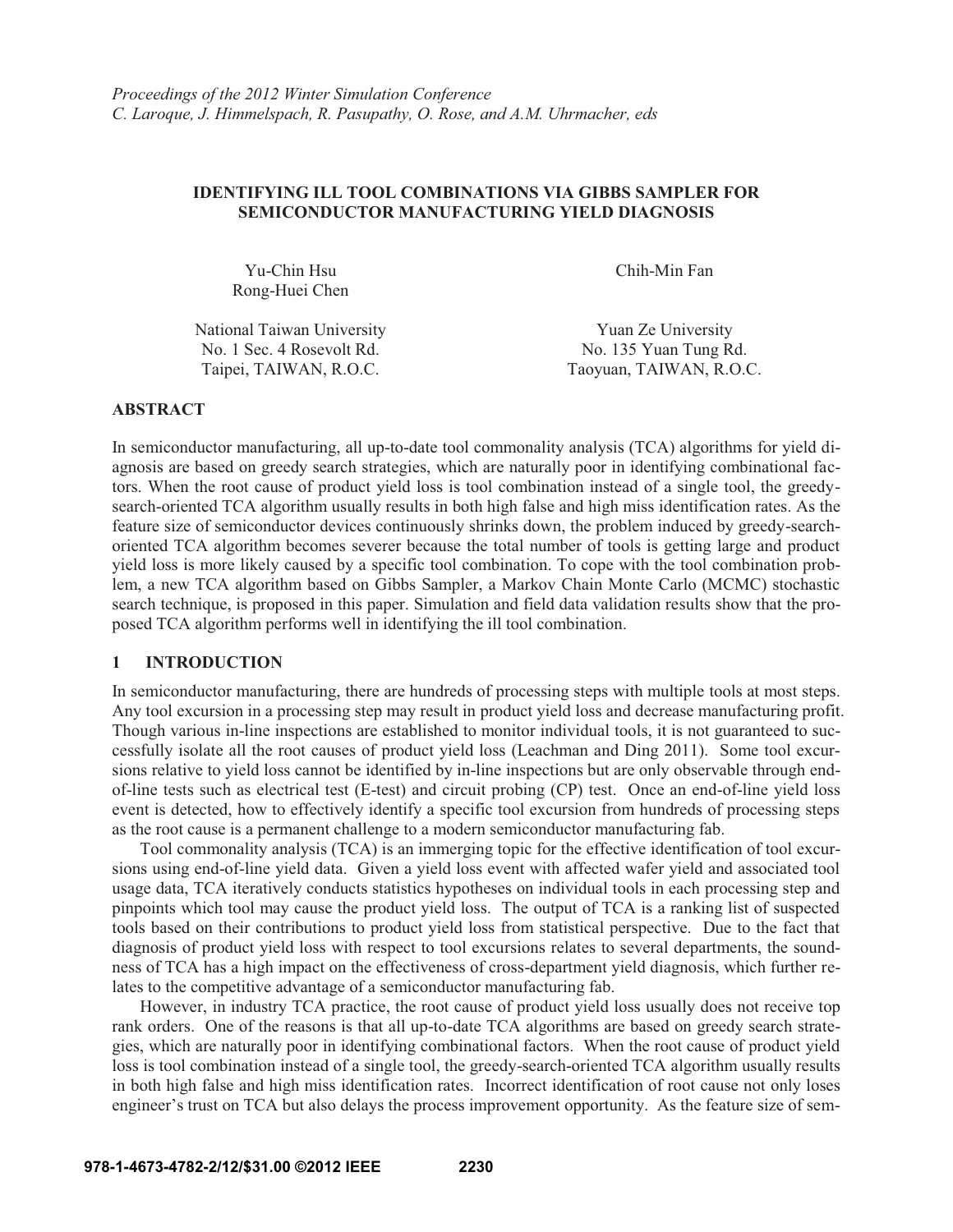# **IDENTIFYING ILL TOOL COMBINATIONS VIA GIBBS SAMPLER FOR SEMICONDUCTOR MANUFACTURING YIELD DIAGNOSIS**

Yu-Chin Hsu Rong-Huei Chen Chih-Min Fan

National Taiwan University **The Vuan Ze University** Yuan Ze University No. 1 Sec. 4 Rosevolt Rd. No. 135 Yuan Tung Rd.

Taipei, TAIWAN, R.O.C. Taoyuan, TAIWAN, R.O.C.

# **ABSTRACT**

In semiconductor manufacturing, all up-to-date tool commonality analysis (TCA) algorithms for yield diagnosis are based on greedy search strategies, which are naturally poor in identifying combinational factors. When the root cause of product yield loss is tool combination instead of a single tool, the greedysearch-oriented TCA algorithm usually results in both high false and high miss identification rates. As the feature size of semiconductor devices continuously shrinks down, the problem induced by greedy-searchoriented TCA algorithm becomes severer because the total number of tools is getting large and product yield loss is more likely caused by a specific tool combination. To cope with the tool combination problem, a new TCA algorithm based on Gibbs Sampler, a Markov Chain Monte Carlo (MCMC) stochastic search technique, is proposed in this paper. Simulation and field data validation results show that the proposed TCA algorithm performs well in identifying the ill tool combination.

## **1 INTRODUCTION**

In semiconductor manufacturing, there are hundreds of processing steps with multiple tools at most steps. Any tool excursion in a processing step may result in product yield loss and decrease manufacturing profit. Though various in-line inspections are established to monitor individual tools, it is not guaranteed to successfully isolate all the root causes of product yield loss (Leachman and Ding 2011). Some tool excursions relative to yield loss cannot be identified by in-line inspections but are only observable through endof-line tests such as electrical test (E-test) and circuit probing (CP) test. Once an end-of-line yield loss event is detected, how to effectively identify a specific tool excursion from hundreds of processing steps as the root cause is a permanent challenge to a modern semiconductor manufacturing fab.

Tool commonality analysis (TCA) is an immerging topic for the effective identification of tool excursions using end-of-line yield data. Given a yield loss event with affected wafer yield and associated tool usage data, TCA iteratively conducts statistics hypotheses on individual tools in each processing step and pinpoints which tool may cause the product yield loss. The output of TCA is a ranking list of suspected tools based on their contributions to product yield loss from statistical perspective. Due to the fact that diagnosis of product yield loss with respect to tool excursions relates to several departments, the soundness of TCA has a high impact on the effectiveness of cross-department yield diagnosis, which further relates to the competitive advantage of a semiconductor manufacturing fab.

However, in industry TCA practice, the root cause of product yield loss usually does not receive top rank orders. One of the reasons is that all up-to-date TCA algorithms are based on greedy search strategies, which are naturally poor in identifying combinational factors. When the root cause of product yield loss is tool combination instead of a single tool, the greedy-search-oriented TCA algorithm usually results in both high false and high miss identification rates. Incorrect identification of root cause not only loses engineer's trust on TCA but also delays the process improvement opportunity. As the feature size of sem-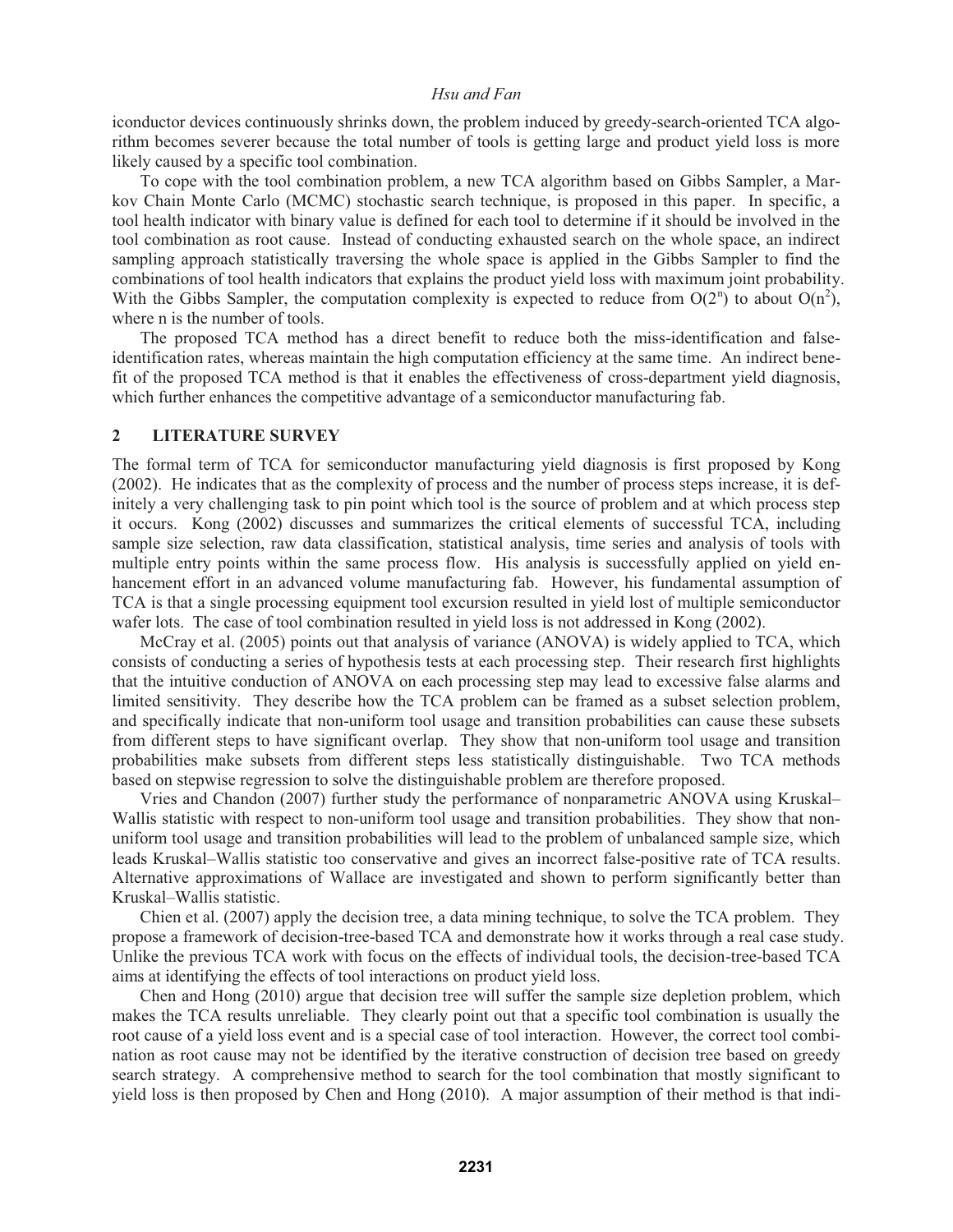iconductor devices continuously shrinks down, the problem induced by greedy-search-oriented TCA algorithm becomes severer because the total number of tools is getting large and product yield loss is more likely caused by a specific tool combination.

To cope with the tool combination problem, a new TCA algorithm based on Gibbs Sampler, a Markov Chain Monte Carlo (MCMC) stochastic search technique, is proposed in this paper. In specific, a tool health indicator with binary value is defined for each tool to determine if it should be involved in the tool combination as root cause. Instead of conducting exhausted search on the whole space, an indirect sampling approach statistically traversing the whole space is applied in the Gibbs Sampler to find the combinations of tool health indicators that explains the product yield loss with maximum joint probability. With the Gibbs Sampler, the computation complexity is expected to reduce from  $O(2^n)$  to about  $O(n^2)$ , where n is the number of tools.

The proposed TCA method has a direct benefit to reduce both the miss-identification and falseidentification rates, whereas maintain the high computation efficiency at the same time. An indirect benefit of the proposed TCA method is that it enables the effectiveness of cross-department yield diagnosis, which further enhances the competitive advantage of a semiconductor manufacturing fab.

## **2 LITERATURE SURVEY**

The formal term of TCA for semiconductor manufacturing yield diagnosis is first proposed by Kong (2002). He indicates that as the complexity of process and the number of process steps increase, it is definitely a very challenging task to pin point which tool is the source of problem and at which process step it occurs. Kong (2002) discusses and summarizes the critical elements of successful TCA, including sample size selection, raw data classification, statistical analysis, time series and analysis of tools with multiple entry points within the same process flow. His analysis is successfully applied on yield enhancement effort in an advanced volume manufacturing fab. However, his fundamental assumption of TCA is that a single processing equipment tool excursion resulted in yield lost of multiple semiconductor wafer lots. The case of tool combination resulted in yield loss is not addressed in Kong (2002).

McCray et al. (2005) points out that analysis of variance (ANOVA) is widely applied to TCA, which consists of conducting a series of hypothesis tests at each processing step. Their research first highlights that the intuitive conduction of ANOVA on each processing step may lead to excessive false alarms and limited sensitivity. They describe how the TCA problem can be framed as a subset selection problem, and specifically indicate that non-uniform tool usage and transition probabilities can cause these subsets from different steps to have significant overlap. They show that non-uniform tool usage and transition probabilities make subsets from different steps less statistically distinguishable. Two TCA methods based on stepwise regression to solve the distinguishable problem are therefore proposed.

Vries and Chandon (2007) further study the performance of nonparametric ANOVA using Kruskal– Wallis statistic with respect to non-uniform tool usage and transition probabilities. They show that nonuniform tool usage and transition probabilities will lead to the problem of unbalanced sample size, which leads Kruskal–Wallis statistic too conservative and gives an incorrect false-positive rate of TCA results. Alternative approximations of Wallace are investigated and shown to perform significantly better than Kruskal–Wallis statistic.

Chien et al. (2007) apply the decision tree, a data mining technique, to solve the TCA problem. They propose a framework of decision-tree-based TCA and demonstrate how it works through a real case study. Unlike the previous TCA work with focus on the effects of individual tools, the decision-tree-based TCA aims at identifying the effects of tool interactions on product yield loss.

Chen and Hong (2010) argue that decision tree will suffer the sample size depletion problem, which makes the TCA results unreliable. They clearly point out that a specific tool combination is usually the root cause of a yield loss event and is a special case of tool interaction. However, the correct tool combination as root cause may not be identified by the iterative construction of decision tree based on greedy search strategy. A comprehensive method to search for the tool combination that mostly significant to yield loss is then proposed by Chen and Hong (2010). A major assumption of their method is that indi-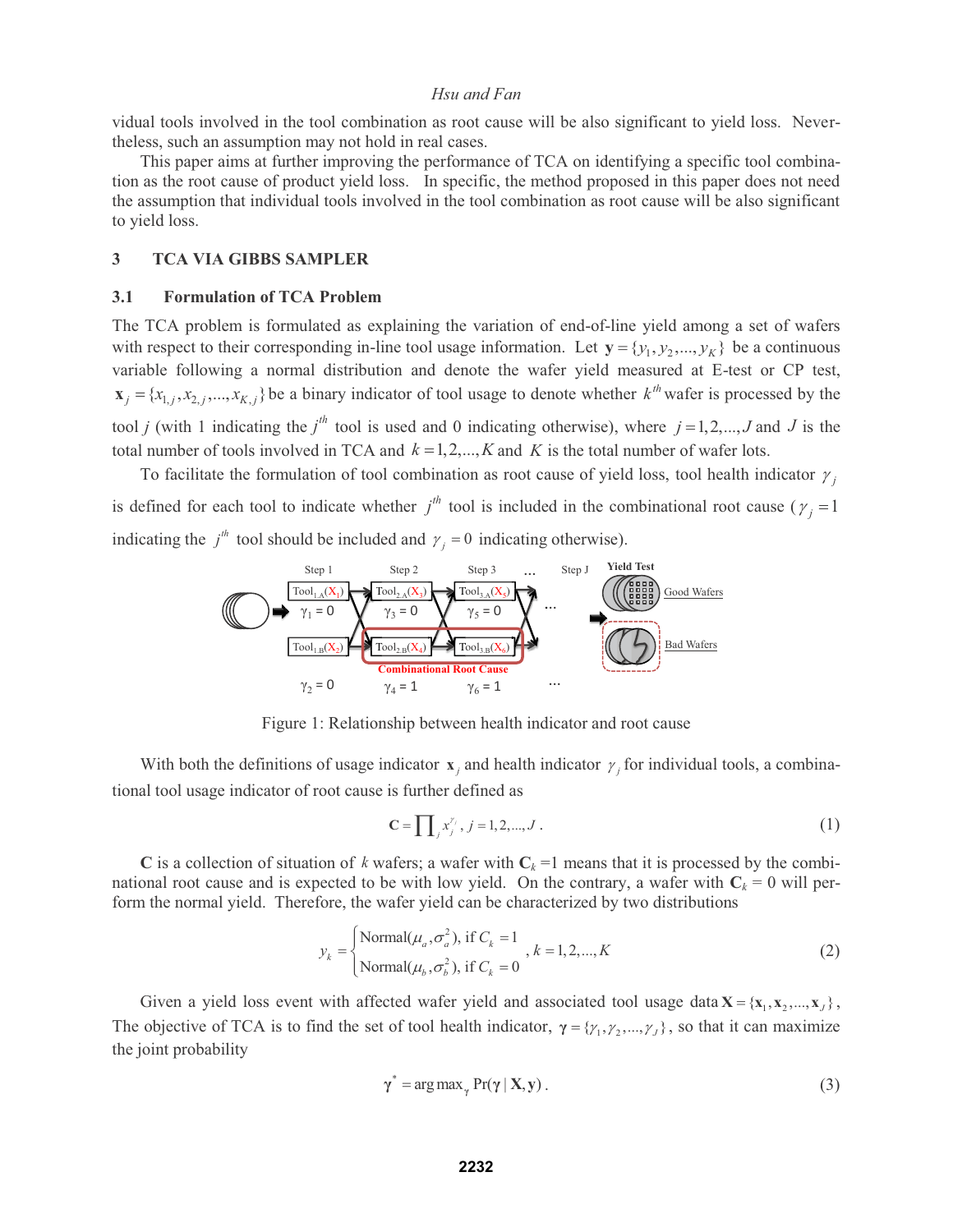vidual tools involved in the tool combination as root cause will be also significant to yield loss. Nevertheless, such an assumption may not hold in real cases.

This paper aims at further improving the performance of TCA on identifying a specific tool combination as the root cause of product yield loss. In specific, the method proposed in this paper does not need the assumption that individual tools involved in the tool combination as root cause will be also significant to yield loss.

#### **3 TCA VIA GIBBS SAMPLER**

### **3.1 Formulation of TCA Problem**

The TCA problem is formulated as explaining the variation of end-of-line yield among a set of wafers with respect to their corresponding in-line tool usage information. Let  $y = \{y_1, y_2, ..., y_K\}$  be a continuous variable following a normal distribution and denote the wafer yield measured at E-test or CP test,  $\mathbf{x}_j = \{x_{1,j}, x_{2,j},...,x_{K,j}\}\$ be a binary indicator of tool usage to denote whether  $k^{th}$  wafer is processed by the tool *j* (with 1 indicating the *j*<sup>th</sup> tool is used and 0 indicating otherwise), where  $j = 1, 2, ..., J$  and *J* is the total number of tools involved in TCA and  $k = 1, 2, ..., K$  and  $K$  is the total number of wafer lots.

To facilitate the formulation of tool combination as root cause of yield loss, tool health indicator  $\gamma$ , is defined for each tool to indicate whether  $j<sup>th</sup>$  tool is included in the combinational root cause ( $\gamma_j = 1$ indicating the  $j<sup>th</sup>$  tool should be included and  $\gamma_j = 0$  indicating otherwise).



Figure 1: Relationship between health indicator and root cause

With both the definitions of usage indicator  $\mathbf{x}_i$  and health indicator  $\gamma_j$  for individual tools, a combinational tool usage indicator of root cause is further defined as

$$
\mathbf{C} = \prod_{j} x_j^{r_j}, \, j = 1, 2, \dots, J \,. \tag{1}
$$

**C** is a collection of situation of *k* wafers; a wafer with  $C_k = 1$  means that it is processed by the combinational root cause and is expected to be with low yield. On the contrary, a wafer with  $C_k = 0$  will perform the normal yield. Therefore, the wafer yield can be characterized by two distributions

$$
y_k = \begin{cases} \text{Normal}(\mu_a, \sigma_a^2), \text{ if } C_k = 1 \\ \text{Normal}(\mu_b, \sigma_b^2), \text{ if } C_k = 0 \end{cases}, k = 1, 2, ..., K \tag{2}
$$

Given a yield loss event with affected wafer yield and associated tool usage data  $X = \{x_1, x_2, ..., x_J\}$ , The objective of TCA is to find the set of tool health indicator,  $\gamma = \{\gamma_1, \gamma_2, ..., \gamma_J\}$ , so that it can maximize the joint probability

$$
\gamma^* = \arg \max_{\gamma} \Pr(\gamma \mid \mathbf{X}, \mathbf{y}). \tag{3}
$$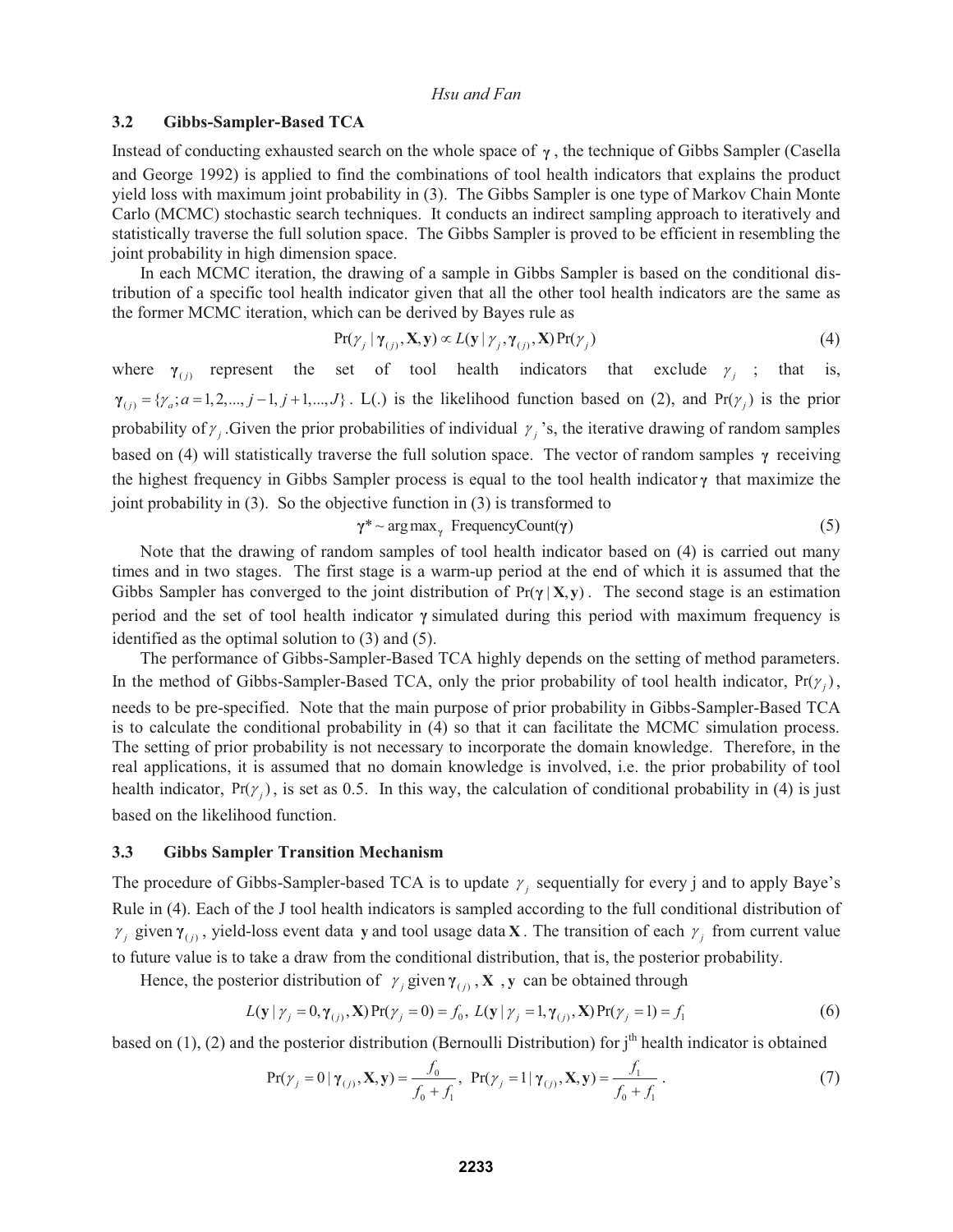#### **3.2 Gibbs-Sampler-Based TCA**

Instead of conducting exhausted search on the whole space of **γ** , the technique of Gibbs Sampler (Casella and George 1992) is applied to find the combinations of tool health indicators that explains the product yield loss with maximum joint probability in (3). The Gibbs Sampler is one type of Markov Chain Monte Carlo (MCMC) stochastic search techniques. It conducts an indirect sampling approach to iteratively and statistically traverse the full solution space. The Gibbs Sampler is proved to be efficient in resembling the joint probability in high dimension space.

In each MCMC iteration, the drawing of a sample in Gibbs Sampler is based on the conditional distribution of a specific tool health indicator given that all the other tool health indicators are the same as the former MCMC iteration, which can be derived by Bayes rule as

$$
Pr(\gamma_j | \gamma_{(j)}, \mathbf{X}, \mathbf{y}) \propto L(\mathbf{y} | \gamma_j, \gamma_{(j)}, \mathbf{X}) Pr(\gamma_j)
$$
\n(4)

where  $\gamma_{(i)}$  represent the set of tool health indicators that exclude  $\gamma_i$ ; that is,  $\gamma_{(j)} = {\gamma_a; a = 1, 2, ..., j-1, j+1, ..., J}$ . L(.) is the likelihood function based on (2), and Pr( $\gamma_j$ ) is the prior probability of  $\gamma$  . Given the prior probabilities of individual  $\gamma$  's, the iterative drawing of random samples based on (4) will statistically traverse the full solution space. The vector of random samples **γ** receiving the highest frequency in Gibbs Sampler process is equal to the tool health indicator **γ** that maximize the joint probability in (3). So the objective function in (3) is transformed to

$$
\gamma^* \sim \arg \max_{\gamma} \text{FrequencyCount}(\gamma) \tag{5}
$$

Note that the drawing of random samples of tool health indicator based on (4) is carried out many times and in two stages. The first stage is a warm-up period at the end of which it is assumed that the Gibbs Sampler has converged to the joint distribution of  $Pr(\gamma | X, y)$ . The second stage is an estimation period and the set of tool health indicator **γ** simulated during this period with maximum frequency is identified as the optimal solution to (3) and (5).

The performance of Gibbs-Sampler-Based TCA highly depends on the setting of method parameters. In the method of Gibbs-Sampler-Based TCA, only the prior probability of tool health indicator,  $Pr(\gamma_i)$ , needs to be pre-specified. Note that the main purpose of prior probability in Gibbs-Sampler-Based TCA is to calculate the conditional probability in (4) so that it can facilitate the MCMC simulation process. The setting of prior probability is not necessary to incorporate the domain knowledge. Therefore, in the real applications, it is assumed that no domain knowledge is involved, i.e. the prior probability of tool health indicator,  $Pr(\gamma_i)$ , is set as 0.5. In this way, the calculation of conditional probability in (4) is just based on the likelihood function.

#### **3.3 Gibbs Sampler Transition Mechanism**

The procedure of Gibbs-Sampler-based TCA is to update  $\gamma_i$  sequentially for every j and to apply Baye's Rule in (4). Each of the J tool health indicators is sampled according to the full conditional distribution of  $\gamma$  given  $\gamma$ <sub>(i)</sub>, yield-loss event data y and tool usage data **X**. The transition of each  $\gamma$  from current value to future value is to take a draw from the conditional distribution, that is, the posterior probability.

Hence, the posterior distribution of  $\gamma_j$  given  $\gamma_{(j)}$ , **X**, y can be obtained through

$$
L(\mathbf{y} | \gamma_j = 0, \gamma_{(j)}, \mathbf{X}) \Pr(\gamma_j = 0) = f_0, \ L(\mathbf{y} | \gamma_j = 1, \gamma_{(j)}, \mathbf{X}) \Pr(\gamma_j = 1) = f_1
$$
 (6)

based on  $(1)$ ,  $(2)$  and the posterior distribution (Bernoulli Distribution) for  $j<sup>th</sup>$  health indicator is obtained

$$
Pr(\gamma_j = 0 | \gamma_{(j)}, \mathbf{X}, \mathbf{y}) = \frac{f_0}{f_0 + f_1}, Pr(\gamma_j = 1 | \gamma_{(j)}, \mathbf{X}, \mathbf{y}) = \frac{f_1}{f_0 + f_1}.
$$
\n(7)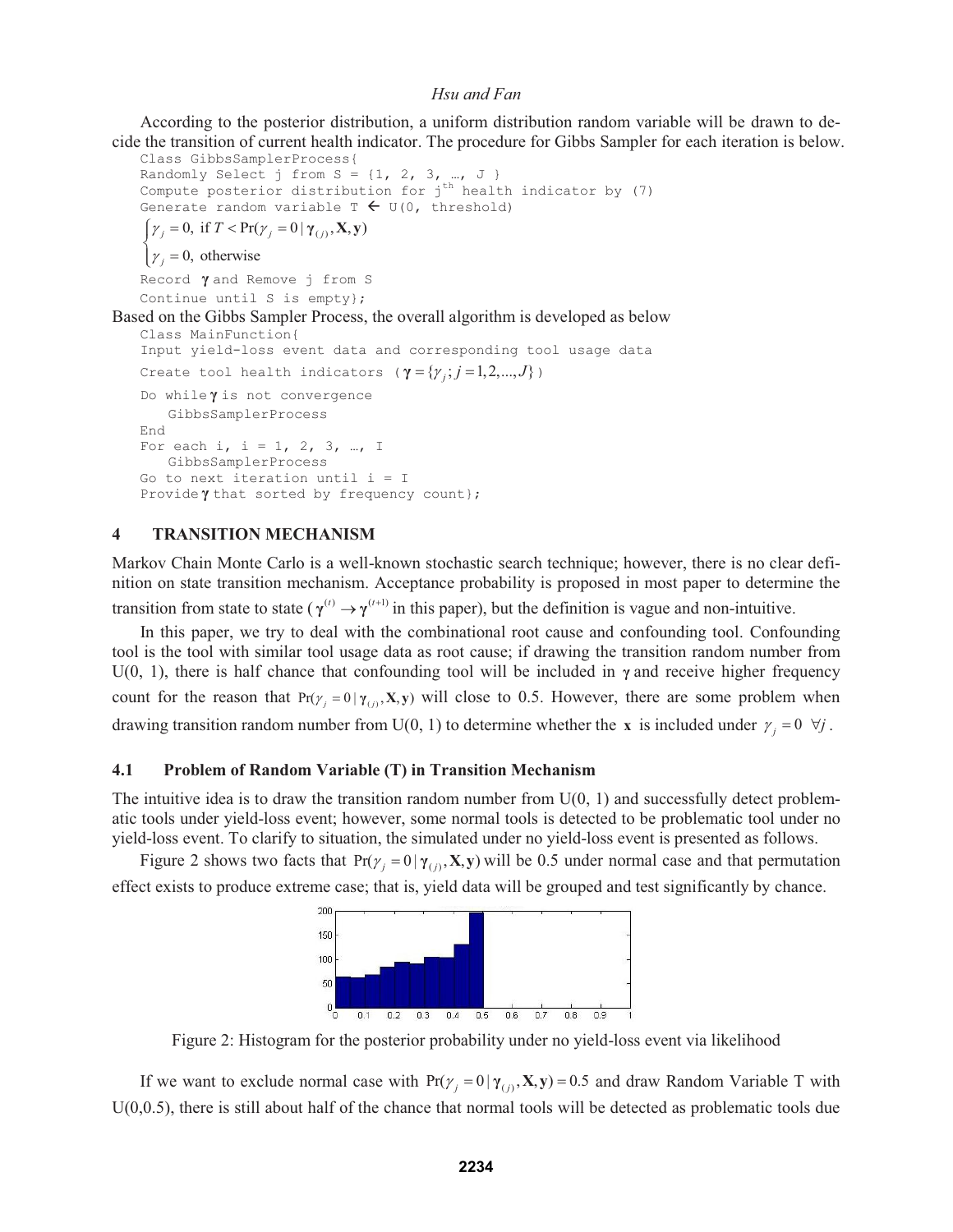According to the posterior distribution, a uniform distribution random variable will be drawn to decide the transition of current health indicator. The procedure for Gibbs Sampler for each iteration is below.

Class GibbsSamplerProcess{ Randomly Select j from  $S = \{1, 2, 3, ..., J\}$ Compute posterior distribution for  $j<sup>th</sup>$  health indicator by (7) Generate random variable  $T \leftarrow U(0,$  threshold)

 $\int \gamma_j = 0$ , if  $T < Pr(\gamma_j = 0 | \gamma_{(j)}, \mathbf{X}, \mathbf{y})$ 

 $\gamma_j = 0$ , otherwise  $\overline{\mathcal{L}}$ 

Record **γ** and Remove j from S

Continue until S is empty};

# Based on the Gibbs Sampler Process, the overall algorithm is developed as below

```
Class MainFunction{ 
Input yield-loss event data and corresponding tool usage data 
Create tool health indicators ({\gamma} = {\gamma}_j; j = 1, 2, ..., J) )
Do while γ is not convergence 
    GibbsSamplerProcess 
End 
For each i, i = 1, 2, 3, ..., I
    GibbsSamplerProcess 
Go to next iteration until i = IProvide \gamma that sorted by frequency count};
```
## **4 TRANSITION MECHANISM**

Markov Chain Monte Carlo is a well-known stochastic search technique; however, there is no clear definition on state transition mechanism. Acceptance probability is proposed in most paper to determine the transition from state to state ( $\gamma^{(t)} \rightarrow \gamma^{(t+1)}$ ) in this paper), but the definition is vague and non-intuitive.

In this paper, we try to deal with the combinational root cause and confounding tool. Confounding tool is the tool with similar tool usage data as root cause; if drawing the transition random number from U(0, 1), there is half chance that confounding tool will be included in  $\gamma$  and receive higher frequency count for the reason that  $Pr(y_j = 0 | \gamma_{(j)}, \mathbf{X}, \mathbf{y})$  will close to 0.5. However, there are some problem when drawing transition random number from U(0, 1) to determine whether the **x** is included under  $\gamma_j = 0 \ \forall j$ .

## **4.1 Problem of Random Variable (T) in Transition Mechanism**

The intuitive idea is to draw the transition random number from  $U(0, 1)$  and successfully detect problematic tools under yield-loss event; however, some normal tools is detected to be problematic tool under no yield-loss event. To clarify to situation, the simulated under no yield-loss event is presented as follows.

Figure 2 shows two facts that  $Pr(y_j = 0 | \gamma_{(j)}, \mathbf{X}, \mathbf{y})$  will be 0.5 under normal case and that permutation effect exists to produce extreme case; that is, yield data will be grouped and test significantly by chance.



Figure 2: Histogram for the posterior probability under no yield-loss event via likelihood

If we want to exclude normal case with  $Pr(y_j = 0 | \gamma_{(j)}, \mathbf{X}, \mathbf{y}) = 0.5$  and draw Random Variable T with U(0,0.5), there is still about half of the chance that normal tools will be detected as problematic tools due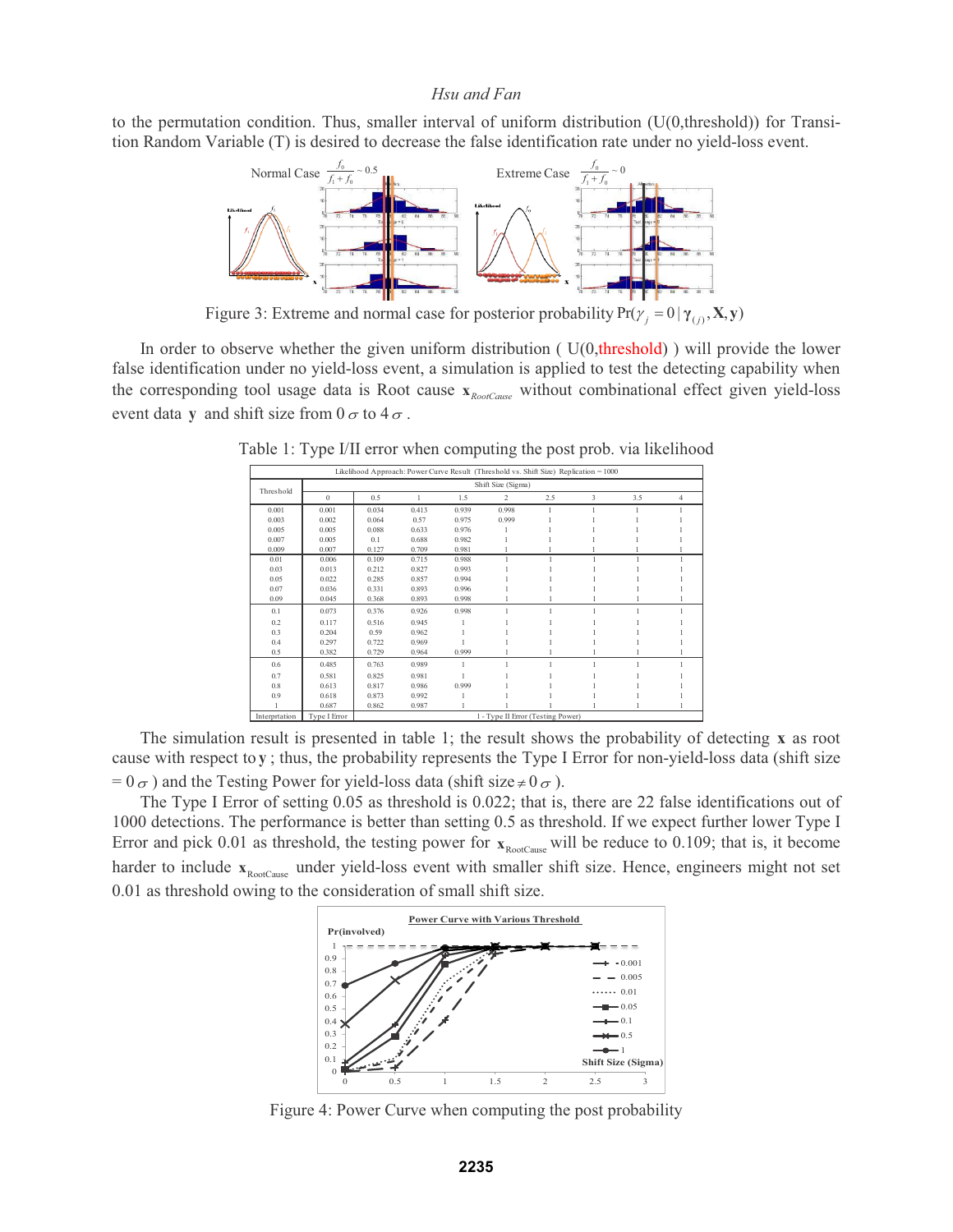to the permutation condition. Thus, smaller interval of uniform distribution  $(U(0,threshold))$  for Transition Random Variable (T) is desired to decrease the false identification rate under no yield-loss event.



Figure 3: Extreme and normal case for posterior probability  $Pr(\gamma_j = 0 | \gamma_{(j)}, \mathbf{X}, \mathbf{y})$ 

In order to observe whether the given uniform distribution (  $U(0,$ threshold) ) will provide the lower false identification under no yield-loss event, a simulation is applied to test the detecting capability when the corresponding tool usage data is Root cause *RootCause* **x** without combinational effect given yield-loss event data **y** and shift size from  $0 \sigma$  to  $4 \sigma$ .

|               |                    |       |       |       | Likelihood Approach: Power Curve Result (Threshold vs. Shift Size) Replication = 1000 |     |   |     |   |  |  |  |
|---------------|--------------------|-------|-------|-------|---------------------------------------------------------------------------------------|-----|---|-----|---|--|--|--|
| Threshold     | Shift Size (Sigma) |       |       |       |                                                                                       |     |   |     |   |  |  |  |
|               | $\Omega$           | 0.5   |       | 1.5   | 2                                                                                     | 2.5 | 3 | 3.5 | 4 |  |  |  |
| 0.001         | 0.001              | 0.034 | 0.413 | 0.939 | 0.998                                                                                 |     |   |     |   |  |  |  |
| 0.003         | 0.002              | 0.064 | 0.57  | 0.975 | 0.999                                                                                 |     |   |     |   |  |  |  |
| 0.005         | 0.005              | 0.088 | 0.633 | 0.976 |                                                                                       |     |   |     |   |  |  |  |
| 0.007         | 0.005              | 0.1   | 0.688 | 0.982 |                                                                                       |     |   |     |   |  |  |  |
| 0.009         | 0.007              | 0.127 | 0.709 | 0.981 |                                                                                       |     |   |     |   |  |  |  |
| 0.01          | 0.006              | 0.109 | 0.715 | 0.988 |                                                                                       |     |   |     |   |  |  |  |
| 0.03          | 0.013              | 0.212 | 0.827 | 0.993 |                                                                                       |     |   |     |   |  |  |  |
| 0.05          | 0.022              | 0.285 | 0.857 | 0.994 |                                                                                       |     |   |     |   |  |  |  |
| 0.07          | 0.036              | 0.331 | 0.893 | 0.996 |                                                                                       |     |   |     |   |  |  |  |
| 0.09          | 0.045              | 0.368 | 0.893 | 0.998 |                                                                                       |     |   |     |   |  |  |  |
| 0.1           | 0.073              | 0.376 | 0.926 | 0.998 |                                                                                       |     |   |     |   |  |  |  |
| 0.2           | 0.117              | 0.516 | 0.945 |       |                                                                                       |     |   |     |   |  |  |  |
| 0.3           | 0.204              | 0.59  | 0.962 |       |                                                                                       |     |   |     |   |  |  |  |
| 0.4           | 0.297              | 0.722 | 0.969 |       |                                                                                       |     |   |     |   |  |  |  |
| 0.5           | 0.382              | 0.729 | 0.964 | 0.999 |                                                                                       |     |   |     |   |  |  |  |
| 0.6           | 0.485              | 0.763 | 0.989 | 1     |                                                                                       |     |   |     |   |  |  |  |
| 0.7           | 0.581              | 0.825 | 0.981 |       |                                                                                       |     |   |     |   |  |  |  |
| 0.8           | 0.613              | 0.817 | 0.986 | 0.999 |                                                                                       |     |   |     |   |  |  |  |
| 0.9           | 0.618              | 0.873 | 0.992 |       |                                                                                       |     |   |     |   |  |  |  |
|               | 0.687              | 0.862 | 0.987 |       |                                                                                       |     |   |     |   |  |  |  |
| Interprtation | Type I Error       |       |       |       | 1 - Type II Error (Testing Power)                                                     |     |   |     |   |  |  |  |

Table 1: Type I/II error when computing the post prob. via likelihood

The simulation result is presented in table 1; the result shows the probability of detecting **x** as root cause with respect to **y** ; thus, the probability represents the Type I Error for non-yield-loss data (shift size  $= 0 \sigma$ ) and the Testing Power for yield-loss data (shift size  $\neq 0 \sigma$ ).

The Type I Error of setting 0.05 as threshold is 0.022; that is, there are 22 false identifications out of 1000 detections. The performance is better than setting 0.5 as threshold. If we expect further lower Type I Error and pick 0.01 as threshold, the testing power for  $x_{RootCause}$  will be reduce to 0.109; that is, it become harder to include  $x_{RootCause}$  under yield-loss event with smaller shift size. Hence, engineers might not set 0.01 as threshold owing to the consideration of small shift size.



Figure 4: Power Curve when computing the post probability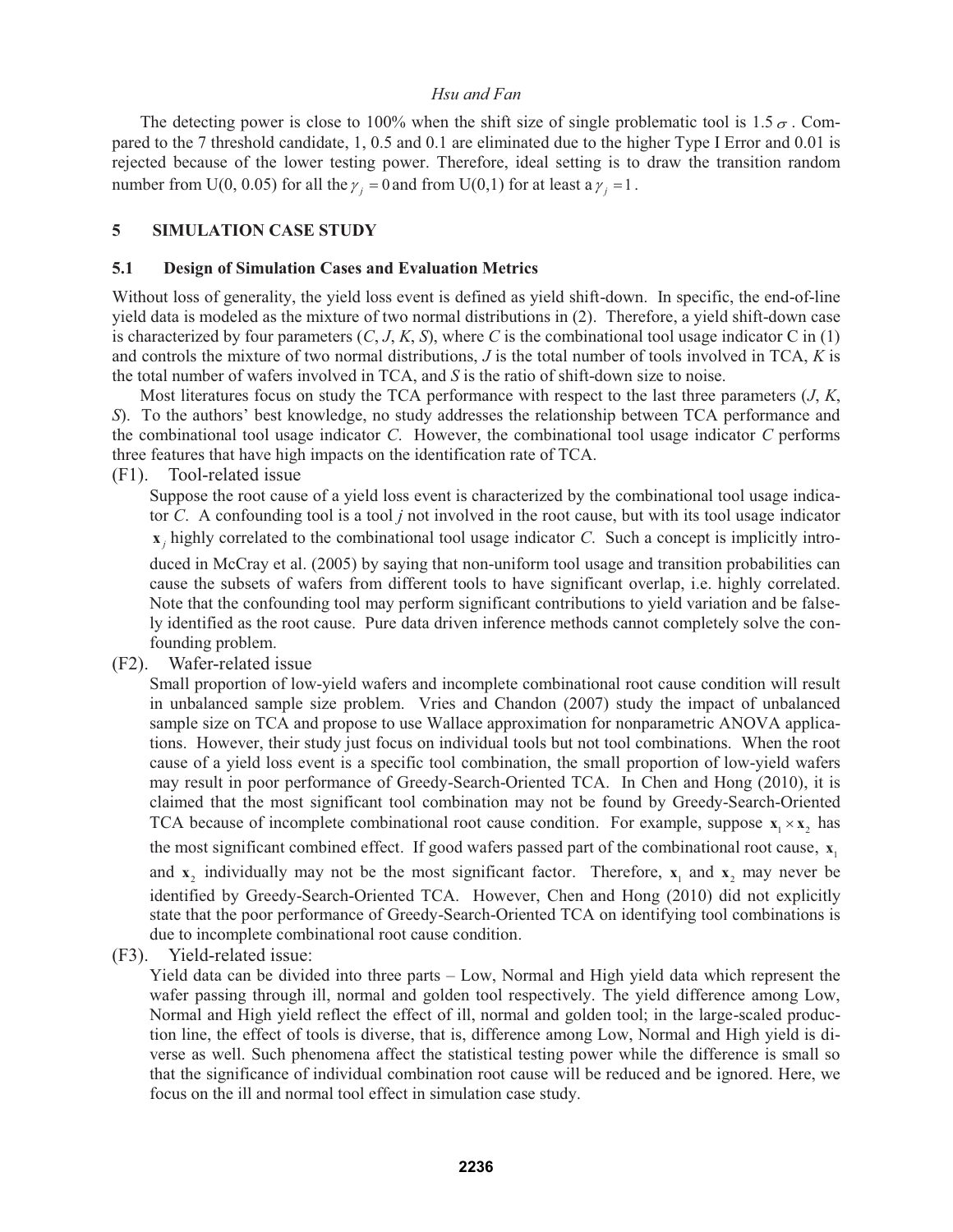The detecting power is close to 100% when the shift size of single problematic tool is 1.5  $\sigma$ . Compared to the 7 threshold candidate, 1, 0.5 and 0.1 are eliminated due to the higher Type I Error and 0.01 is rejected because of the lower testing power. Therefore, ideal setting is to draw the transition random number from U(0, 0.05) for all the  $\gamma_j = 0$  and from U(0,1) for at least a  $\gamma_j = 1$ .

# **5 SIMULATION CASE STUDY**

#### **5.1 Design of Simulation Cases and Evaluation Metrics**

Without loss of generality, the yield loss event is defined as yield shift-down. In specific, the end-of-line yield data is modeled as the mixture of two normal distributions in (2). Therefore, a yield shift-down case is characterized by four parameters  $(C, J, K, S)$ , where C is the combinational tool usage indicator C in (1) and controls the mixture of two normal distributions, *J* is the total number of tools involved in TCA, *K* is the total number of wafers involved in TCA, and *S* is the ratio of shift-down size to noise.

Most literatures focus on study the TCA performance with respect to the last three parameters (*J*, *K*, *S*). To the authors' best knowledge, no study addresses the relationship between TCA performance and the combinational tool usage indicator *C*. However, the combinational tool usage indicator *C* performs three features that have high impacts on the identification rate of TCA.

(F1). Tool-related issue

Suppose the root cause of a yield loss event is characterized by the combinational tool usage indicator *C*. A confounding tool is a tool *j* not involved in the root cause, but with its tool usage indicator  $\bf{x}$ , highly correlated to the combinational tool usage indicator *C*. Such a concept is implicitly intro-

duced in McCray et al. (2005) by saying that non-uniform tool usage and transition probabilities can cause the subsets of wafers from different tools to have significant overlap, i.e. highly correlated. Note that the confounding tool may perform significant contributions to yield variation and be falsely identified as the root cause. Pure data driven inference methods cannot completely solve the confounding problem.

(F2). Wafer-related issue

Small proportion of low-yield wafers and incomplete combinational root cause condition will result in unbalanced sample size problem. Vries and Chandon (2007) study the impact of unbalanced sample size on TCA and propose to use Wallace approximation for nonparametric ANOVA applications. However, their study just focus on individual tools but not tool combinations. When the root cause of a yield loss event is a specific tool combination, the small proportion of low-yield wafers may result in poor performance of Greedy-Search-Oriented TCA. In Chen and Hong (2010), it is claimed that the most significant tool combination may not be found by Greedy-Search-Oriented TCA because of incomplete combinational root cause condition. For example, suppose  $x_1 \times x_2$ , has the most significant combined effect. If good wafers passed part of the combinational root cause,  $\mathbf{x}_1$ and  $x_2$  individually may not be the most significant factor. Therefore,  $x_1$  and  $x_2$  may never be identified by Greedy-Search-Oriented TCA. However, Chen and Hong (2010) did not explicitly state that the poor performance of Greedy-Search-Oriented TCA on identifying tool combinations is due to incomplete combinational root cause condition.

(F3). Yield-related issue:

Yield data can be divided into three parts – Low, Normal and High yield data which represent the wafer passing through ill, normal and golden tool respectively. The yield difference among Low, Normal and High yield reflect the effect of ill, normal and golden tool; in the large-scaled production line, the effect of tools is diverse, that is, difference among Low, Normal and High yield is diverse as well. Such phenomena affect the statistical testing power while the difference is small so that the significance of individual combination root cause will be reduced and be ignored. Here, we focus on the ill and normal tool effect in simulation case study.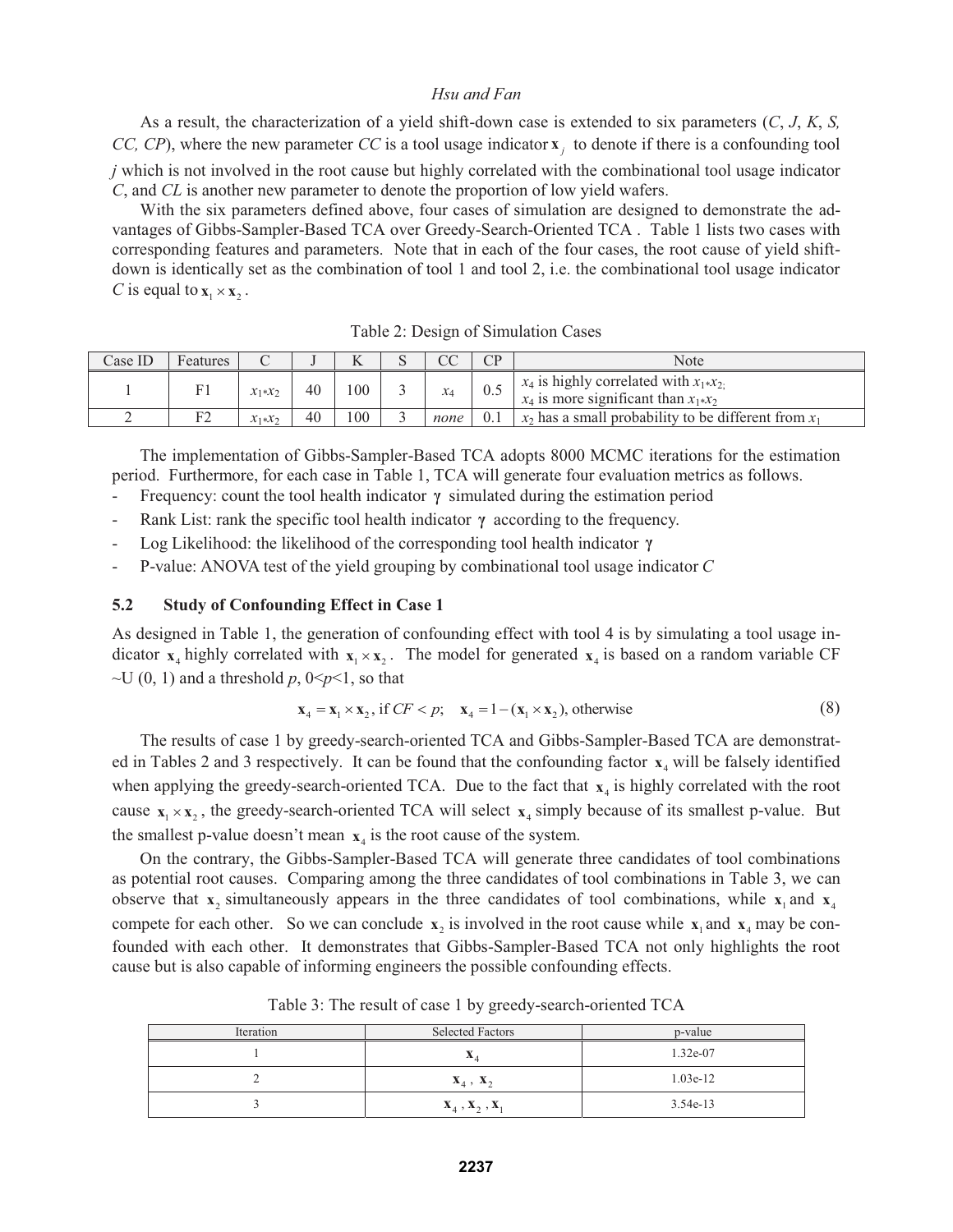As a result, the characterization of a yield shift-down case is extended to six parameters (*C*, *J*, *K*, *S, CC, CP*), where the new parameter *CC* is a tool usage indicator  $\mathbf{x}_i$  to denote if there is a confounding tool *j* which is not involved in the root cause but highly correlated with the combinational tool usage indicator *C*, and *CL* is another new parameter to denote the proportion of low yield wafers.

With the six parameters defined above, four cases of simulation are designed to demonstrate the advantages of Gibbs-Sampler-Based TCA over Greedy-Search-Oriented TCA . Table 1 lists two cases with corresponding features and parameters. Note that in each of the four cases, the root cause of yield shiftdown is identically set as the combination of tool 1 and tool 2, i.e. the combinational tool usage indicator *C* is equal to  $\mathbf{x}_1 \times \mathbf{x}_2$ .

| Case ID | Features |               |    |               | nΩ<br>UU |     | Note                                                                                                 |
|---------|----------|---------------|----|---------------|----------|-----|------------------------------------------------------------------------------------------------------|
|         |          | $x_1$ * $x_2$ | 40 | $100^{\circ}$ | $x_4$    | 0.5 | $x_4$ is highly correlated with $x_1 \cdot x_2$ .<br>$x_4$ is more significant than $x_1 \times x_2$ |
|         |          | $X_1$ * $X_2$ | 40 | 100           | none     | 0.1 | $x_2$ has a small probability to be different from $x_1$                                             |

Table 2: Design of Simulation Cases

The implementation of Gibbs-Sampler-Based TCA adopts 8000 MCMC iterations for the estimation period. Furthermore, for each case in Table 1, TCA will generate four evaluation metrics as follows.

- Frequency: count the tool health indicator **γ** simulated during the estimation period

- Rank List: rank the specific tool health indicator **γ** according to the frequency.
- Log Likelihood: the likelihood of the corresponding tool health indicator **γ**
- P-value: ANOVA test of the yield grouping by combinational tool usage indicator *C*

# **5.2 Study of Confounding Effect in Case 1**

As designed in Table 1, the generation of confounding effect with tool 4 is by simulating a tool usage indicator  $x_4$  highly correlated with  $x_1 \times x_2$ . The model for generated  $x_4$  is based on a random variable CF  $\sim U(0, 1)$  and a threshold p,  $0 \le p \le 1$ , so that

$$
\mathbf{x}_4 = \mathbf{x}_1 \times \mathbf{x}_2, \text{ if } CF < p; \quad \mathbf{x}_4 = 1 - (\mathbf{x}_1 \times \mathbf{x}_2), \text{ otherwise} \tag{8}
$$

The results of case 1 by greedy-search-oriented TCA and Gibbs-Sampler-Based TCA are demonstrated in Tables 2 and 3 respectively. It can be found that the confounding factor  $x_4$  will be falsely identified when applying the greedy-search-oriented TCA. Due to the fact that  $x<sub>4</sub>$  is highly correlated with the root cause  $x_1 \times x_2$ , the greedy-search-oriented TCA will select  $x_4$  simply because of its smallest p-value. But the smallest p-value doesn't mean  $x_4$  is the root cause of the system.

On the contrary, the Gibbs-Sampler-Based TCA will generate three candidates of tool combinations as potential root causes. Comparing among the three candidates of tool combinations in Table 3, we can observe that  $x_2$  simultaneously appears in the three candidates of tool combinations, while  $x_1$  and  $x_4$ compete for each other. So we can conclude  $x_2$  is involved in the root cause while  $x_1$  and  $x_4$  may be confounded with each other. It demonstrates that Gibbs-Sampler-Based TCA not only highlights the root cause but is also capable of informing engineers the possible confounding effects.

| Iteration | <b>Selected Factors</b>                          | p-value    |
|-----------|--------------------------------------------------|------------|
|           | $\boldsymbol{\Lambda}$                           | 1.32e-07   |
|           | $\mathbf{X}_4$ , $\mathbf{X}_2$                  | $1.03e-12$ |
|           | $\mathbf{X}_4$ , $\mathbf{X}_2$ , $\mathbf{X}_1$ | $3.54e-13$ |

Table 3: The result of case 1 by greedy-search-oriented TCA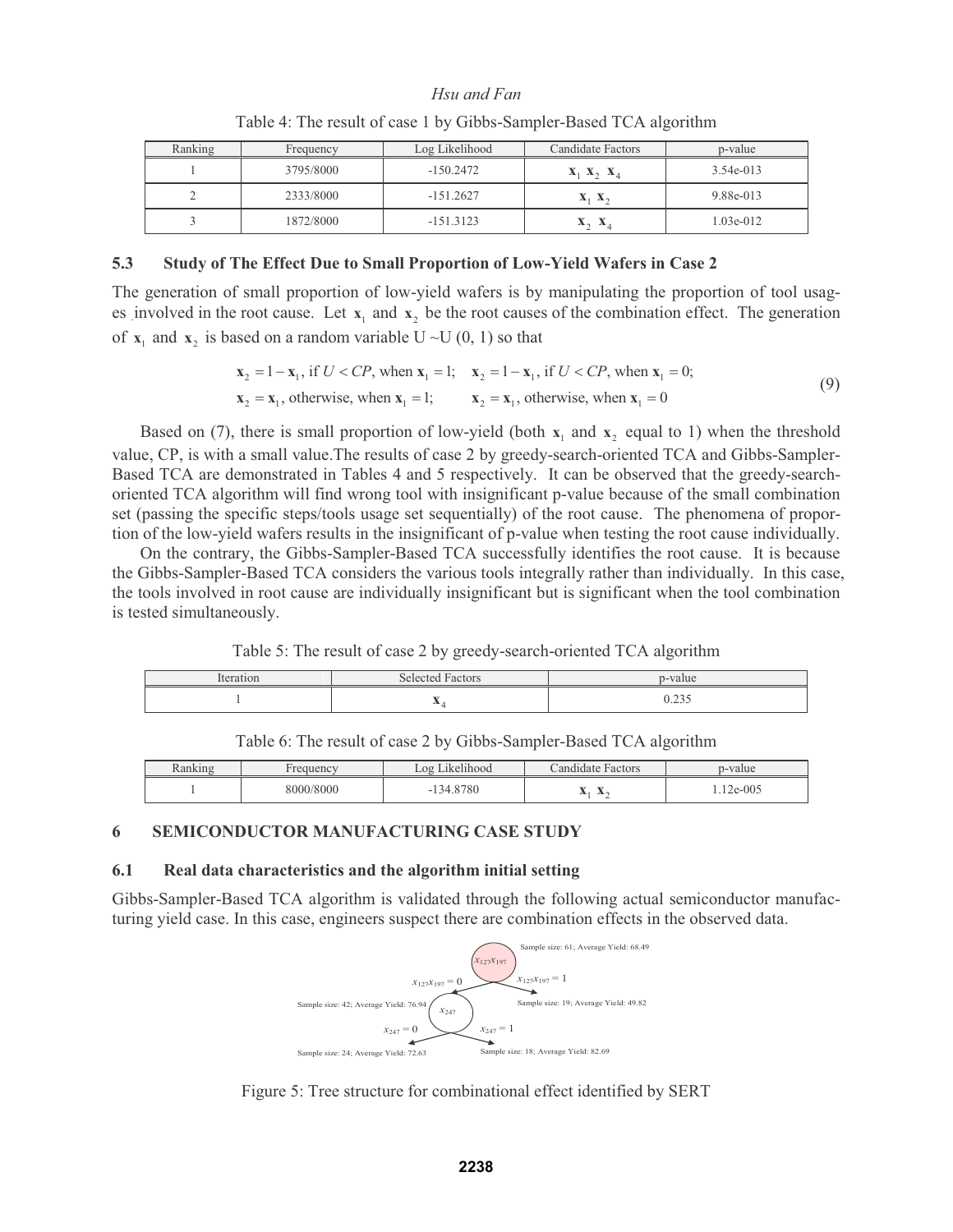| Ranking | Frequency | Log Likelihood | Candidate Factors                            | p-value     |
|---------|-----------|----------------|----------------------------------------------|-------------|
|         | 3795/8000 | $-150.2472$    | $\mathbf{X}_1$ $\mathbf{X}_2$ $\mathbf{X}_4$ | $3.54e-013$ |
|         | 2333/8000 | $-151.2627$    | $\mathbf{X}_1$ $\mathbf{X}_2$                | 9.88e-013   |
|         | 1872/8000 | $-151.3123$    | X<br>$\mathbf{x}$                            | $1.03e-012$ |

#### Table 4: The result of case 1 by Gibbs-Sampler-Based TCA algorithm

# **5.3 Study of The Effect Due to Small Proportion of Low-Yield Wafers in Case 2**

The generation of small proportion of low-yield wafers is by manipulating the proportion of tool usages involved in the root cause. Let  $x_1$  and  $x_2$  be the root causes of the combination effect. The generation of  $x_1$  and  $x_2$  is based on a random variable U ~U (0, 1) so that

$$
\mathbf{x}_2 = 1 - \mathbf{x}_1, \text{ if } U < CP, \text{ when } \mathbf{x}_1 = 1; \quad \mathbf{x}_2 = 1 - \mathbf{x}_1, \text{ if } U < CP, \text{ when } \mathbf{x}_1 = 0; \\
\mathbf{x}_2 = \mathbf{x}_1, \text{ otherwise, when } \mathbf{x}_1 = 1; \quad \mathbf{x}_2 = \mathbf{x}_1, \text{ otherwise, when } \mathbf{x}_1 = 0 \tag{9}
$$

Based on (7), there is small proportion of low-yield (both  $x_1$  and  $x_2$  equal to 1) when the threshold value, CP, is with a small value.The results of case 2 by greedy-search-oriented TCA and Gibbs-Sampler-Based TCA are demonstrated in Tables 4 and 5 respectively. It can be observed that the greedy-searchoriented TCA algorithm will find wrong tool with insignificant p-value because of the small combination set (passing the specific steps/tools usage set sequentially) of the root cause. The phenomena of proportion of the low-yield wafers results in the insignificant of p-value when testing the root cause individually.

On the contrary, the Gibbs-Sampler-Based TCA successfully identifies the root cause. It is because the Gibbs-Sampler-Based TCA considers the various tools integrally rather than individually. In this case, the tools involved in root cause are individually insignificant but is significant when the tool combination is tested simultaneously.

Table 5: The result of case 2 by greedy-search-oriented TCA algorithm

| Iteration | <b>Selected Factors</b> | p-value       |
|-----------|-------------------------|---------------|
|           | $\overline{1}$          | .225<br>0.433 |

|  |  |  | Table 6: The result of case 2 by Gibbs-Sampler-Based TCA algorithm |
|--|--|--|--------------------------------------------------------------------|
|  |  |  |                                                                    |

| auency    | $-111$<br>.09<br>.1kel1hood | Factors<br>andidate                   | p-value |
|-----------|-----------------------------|---------------------------------------|---------|
| 8000/8000 | 8780<br>-                   | $\Lambda$<br>$\overline{\phantom{a}}$ | 2e-005  |

# **6 SEMICONDUCTOR MANUFACTURING CASE STUDY**

### **6.1 Real data characteristics and the algorithm initial setting**

Gibbs-Sampler-Based TCA algorithm is validated through the following actual semiconductor manufacturing yield case. In this case, engineers suspect there are combination effects in the observed data.



Figure 5: Tree structure for combinational effect identified by SERT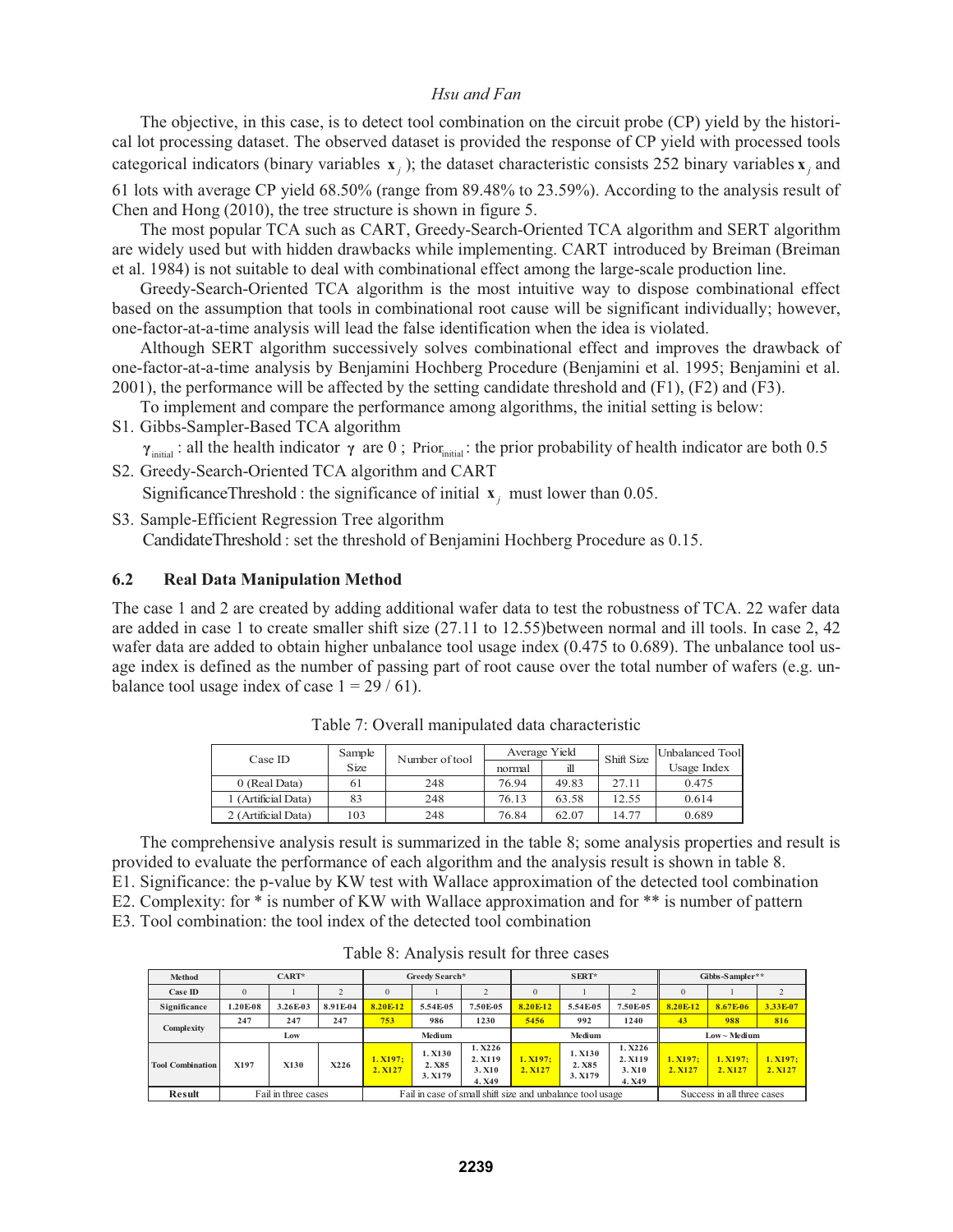The objective, in this case, is to detect tool combination on the circuit probe (CP) yield by the historical lot processing dataset. The observed dataset is provided the response of CP yield with processed tools categorical indicators (binary variables  $\mathbf{x}_i$ ); the dataset characteristic consists 252 binary variables  $\mathbf{x}_i$  and

61 lots with average CP yield 68.50% (range from 89.48% to 23.59%). According to the analysis result of Chen and Hong (2010), the tree structure is shown in figure 5.

The most popular TCA such as CART, Greedy-Search-Oriented TCA algorithm and SERT algorithm are widely used but with hidden drawbacks while implementing. CART introduced by Breiman (Breiman et al. 1984) is not suitable to deal with combinational effect among the large-scale production line.

Greedy-Search-Oriented TCA algorithm is the most intuitive way to dispose combinational effect based on the assumption that tools in combinational root cause will be significant individually; however, one-factor-at-a-time analysis will lead the false identification when the idea is violated.

Although SERT algorithm successively solves combinational effect and improves the drawback of one-factor-at-a-time analysis by Benjamini Hochberg Procedure (Benjamini et al. 1995; Benjamini et al. 2001), the performance will be affected by the setting candidate threshold and (F1), (F2) and (F3).

To implement and compare the performance among algorithms, the initial setting is below:

S1. Gibbs-Sampler-Based TCA algorithm

 $γ_{initial}$ : all the health indicator γ are 0; Prior<sub>initial</sub>: the prior probability of health indicator are both 0.5

S2. Greedy-Search-Oriented TCA algorithm and CART

SignificanceThreshold : the significance of initial  $\mathbf{x}_i$  must lower than 0.05.

S3. Sample-Efficient Regression Tree algorithm CandidateThreshold : set the threshold of Benjamini Hochberg Procedure as 0.15.

# **6.2 Real Data Manipulation Method**

The case 1 and 2 are created by adding additional wafer data to test the robustness of TCA. 22 wafer data are added in case 1 to create smaller shift size (27.11 to 12.55)between normal and ill tools. In case 2, 42 wafer data are added to obtain higher unbalance tool usage index (0.475 to 0.689). The unbalance tool usage index is defined as the number of passing part of root cause over the total number of wafers (e.g. unbalance tool usage index of case  $1 = 29 / 61$ .

| Case ID             | Sample | Number of tool |        | Average Yield | Shift Size | Unbalanced Tool |
|---------------------|--------|----------------|--------|---------------|------------|-----------------|
|                     | Size   |                | normal | ill           |            | Usage Index     |
| 0 (Real Data)       | 61     | 248            | 76.94  | 49.83         | 27.11      | 0.475           |
| 1 (Artificial Data) | 83     | 248            | 76.13  | 63.58         | 12.55      | 0.614           |
| 2 (Artificial Data) | 103    | 248            | 76.84  | 62.07         | 14.77      | 0.689           |

Table 7: Overall manipulated data characteristic

The comprehensive analysis result is summarized in the table 8; some analysis properties and result is provided to evaluate the performance of each algorithm and the analysis result is shown in table 8.

E1. Significance: the p-value by KW test with Wallace approximation of the detected tool combination

E2. Complexity: for \* is number of KW with Wallace approximation and for \*\* is number of pattern

E3. Tool combination: the tool index of the detected tool combination

| Method                  |          | CART*               |          | Greedy Search*      |                           |                                      | SERT*                                                     |                             |                                      | Gibbs-Sampler**            |                   |                    |
|-------------------------|----------|---------------------|----------|---------------------|---------------------------|--------------------------------------|-----------------------------------------------------------|-----------------------------|--------------------------------------|----------------------------|-------------------|--------------------|
| $Case$ ID               | $\Omega$ |                     |          | $\Omega$            |                           |                                      | $\Omega$                                                  |                             |                                      | $\Omega$                   |                   |                    |
| Significance            | 1.20E-08 | 3.26E-03            | 8.91E-04 | 8.20E-12            | 5.54E-05                  | 7.50E-05                             | 8.20E-12                                                  | 5.54E-05                    | 7.50E-05                             | 8.20E-12                   | 8.67E-06          | 3.33E-07           |
| Complexity              | 247      | 247                 | 247      | 753                 | 986                       | 1230                                 | 5456                                                      | 992                         | 1240                                 | 43                         | 988               | 816                |
|                         |          | Low                 |          |                     | Medium                    |                                      |                                                           | Medium                      |                                      |                            | $Low - Medium$    |                    |
| <b>Tool Combination</b> | X197     | X130                | X226     | 1. X197:<br>2. X127 | 1.X130<br>2.X85<br>3.X179 | 1.X226<br>2. X119<br>3. X10<br>4.X49 | 1. X197:<br>2. X127                                       | 1.X130<br>2. X85<br>3. X179 | 1.X226<br>2. X119<br>3. X10<br>4.X49 | 1. X197:<br>2. X127        | 1.X197:<br>2.X127 | 1. X197:<br>2.X127 |
| <b>Result</b>           |          | Fail in three cases |          |                     |                           |                                      | Fail in case of small shift size and unbalance tool usage |                             |                                      | Success in all three cases |                   |                    |

Table 8: Analysis result for three cases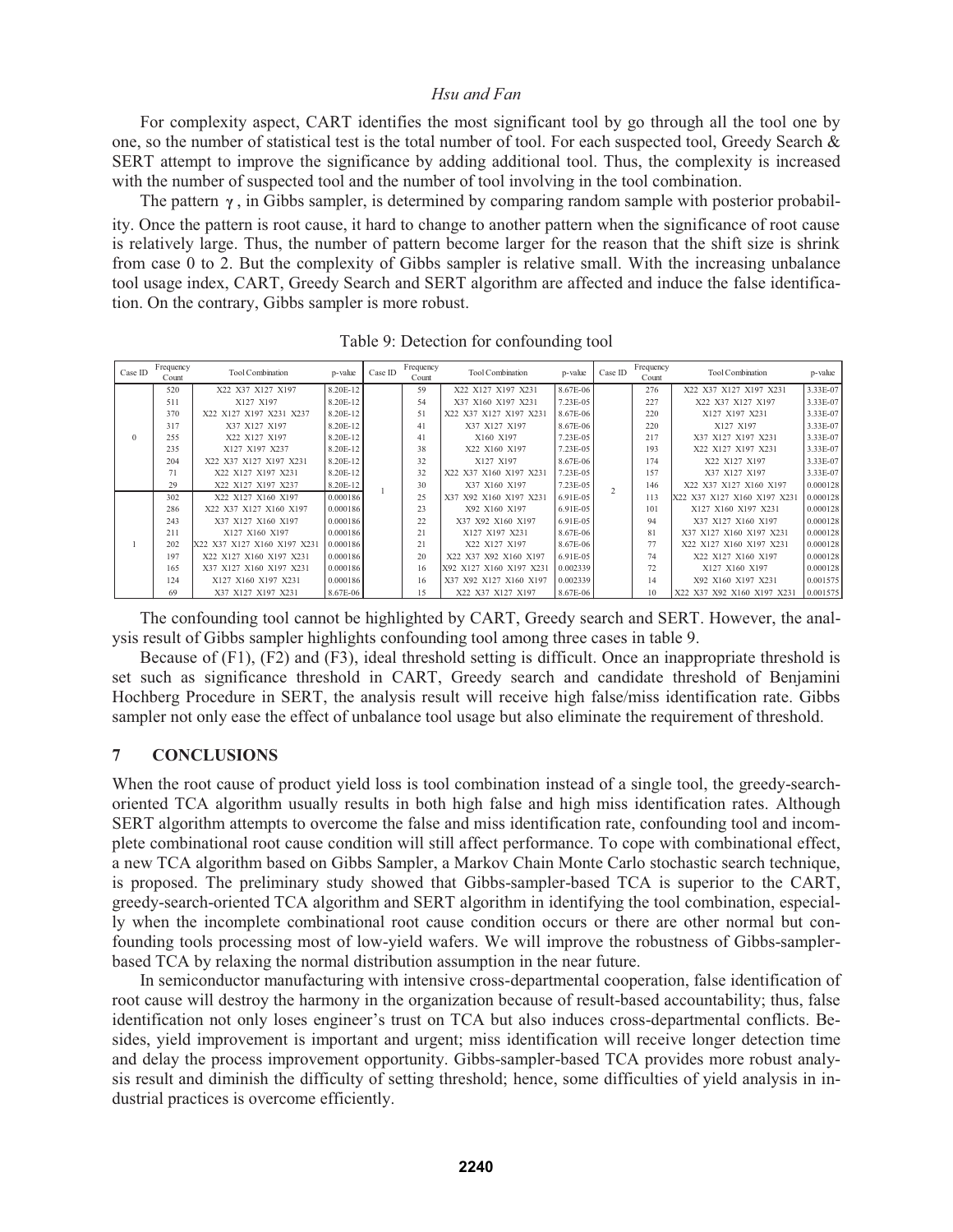For complexity aspect, CART identifies the most significant tool by go through all the tool one by one, so the number of statistical test is the total number of tool. For each suspected tool, Greedy Search & SERT attempt to improve the significance by adding additional tool. Thus, the complexity is increased with the number of suspected tool and the number of tool involving in the tool combination.

The pattern  $\gamma$ , in Gibbs sampler, is determined by comparing random sample with posterior probability. Once the pattern is root cause, it hard to change to another pattern when the significance of root cause is relatively large. Thus, the number of pattern become larger for the reason that the shift size is shrink from case 0 to 2. But the complexity of Gibbs sampler is relative small. With the increasing unbalance tool usage index, CART, Greedy Search and SERT algorithm are affected and induce the false identification. On the contrary, Gibbs sampler is more robust.

| Case ID  | Frequency<br>Count | <b>Tool Combination</b>     | Frequency<br>Case ID<br><b>Tool Combination</b><br>p-value<br>Count |  | p-value | Case ID                   | Frequency<br>Count | <b>Tool Combination</b> | p-value |                            |          |
|----------|--------------------|-----------------------------|---------------------------------------------------------------------|--|---------|---------------------------|--------------------|-------------------------|---------|----------------------------|----------|
|          | 520                | X22 X37 X127 X197           | 8.20E-12                                                            |  | 59      | X22 X127 X197 X231        | 8.67E-06           |                         | 276     | X22 X37 X127 X197 X231     | 3.33E-07 |
|          | 511                | X127 X197                   | 8.20E-12                                                            |  | 54      | X37 X160 X197 X231        | 7.23E-05           |                         | 227     | X22 X37 X127 X197          | 3.33E-07 |
|          | 370                | X22 X127 X197 X231 X237     | 8.20E-12                                                            |  | 51      | X22 X37 X127 X197 X231    | 8.67E-06           |                         | 220     | X127 X197 X231             | 3.33E-07 |
|          | 317                | X37 X127 X197               | 8.20E-12                                                            |  | 41      | X37 X127 X197             | 8.67E-06           |                         | 220     | X127 X197                  | 3.33E-07 |
| $\theta$ | 255                | X22 X127 X197               | 8.20E-12                                                            |  | 41      | X160 X197                 | 7.23E-05           |                         | 217     | X37 X127 X197 X231         | 3.33E-07 |
|          | 235                | X127 X197 X237              | 8.20E-12                                                            |  | 38      | X22 X160 X197             | 7.23E-05           |                         | 193     | X22 X127 X197 X231         | 3.33E-07 |
|          | 204                | X22 X37 X127 X197 X231      | 8.20E-12                                                            |  | 32      | X127 X197                 | 8.67E-06           |                         | 174     | X22 X127 X197              | 3.33E-07 |
|          | 71                 | X22 X127 X197 X231          | 8.20E-12                                                            |  | 32      | X22 X37 X160 X197 X231    | 7.23E-05           |                         | 157     | X37 X127 X197              | 3.33E-07 |
|          | 29                 | X22 X127 X197 X237          | 8.20E-12                                                            |  | 30      | X37 X160 X197             | 7.23E-05           | $\mathfrak{D}$          | 146     | X22 X37 X127 X160 X197     | 0.000128 |
|          | 302                | X22 X127 X160 X197          | 0.000186                                                            |  | 25      | X92 X160 X197 X231<br>X37 | 6.91E-05           |                         | 113     | X22 X37 X127 X160 X197 X23 | 0.000128 |
|          | 286                | X22 X37 X127 X160 X197      | 0.000186                                                            |  | 23      | X92 X160 X197             | 6.91E-05           |                         | 101     | X127 X160 X197 X231        | 0.000128 |
|          | 243                | X37 X127 X160 X197          | 0.000186                                                            |  | 22      | X37 X92 X160 X197         | 6.91E-05           |                         | 94      | X37 X127 X160 X197         | 0.000128 |
|          | 211                | X127 X160 X197              | 0.000186                                                            |  | 21      | X127 X197 X231            | 8.67E-06           |                         | 81      | X37 X127 X160 X197 X231    | 0.000128 |
|          | 202                | X22 X37 X127 X160 X197 X231 | 0.000186                                                            |  | 21      | X22 X127 X197             | 8.67E-06           |                         | 77      | X22 X127 X160 X197 X231    | 0.000128 |
|          | 197                | X22 X127 X160 X197 X231     | 0.000186                                                            |  | 20      | X22 X37 X92 X160 X197     | 6.91E-05           |                         | 74      | X22 X127 X160 X197         | 0.000128 |
|          | 165                | X37 X127 X160 X197 X231     | 0.000186                                                            |  | 16      | X92 X127 X160 X197 X231   | 0.002339           |                         | 72      | X127 X160 X197             | 0.000128 |
|          | 124                | X127 X160 X197 X231         | 0.000186                                                            |  | 16      | X37 X92 X127 X160 X197    | 0.002339           |                         | 14      | X92 X160 X197 X231         | 0.001575 |
|          | 69                 | X37 X127 X197 X231          | 8.67E-06                                                            |  | 15      | X22 X37 X127 X197         | 8.67E-06           |                         | 10      | X22 X37 X92 X160 X197 X231 | 0.001575 |

Table 9: Detection for confounding tool

The confounding tool cannot be highlighted by CART, Greedy search and SERT. However, the analysis result of Gibbs sampler highlights confounding tool among three cases in table 9.

Because of (F1), (F2) and (F3), ideal threshold setting is difficult. Once an inappropriate threshold is set such as significance threshold in CART, Greedy search and candidate threshold of Benjamini Hochberg Procedure in SERT, the analysis result will receive high false/miss identification rate. Gibbs sampler not only ease the effect of unbalance tool usage but also eliminate the requirement of threshold.

## **7 CONCLUSIONS**

When the root cause of product yield loss is tool combination instead of a single tool, the greedy-searchoriented TCA algorithm usually results in both high false and high miss identification rates. Although SERT algorithm attempts to overcome the false and miss identification rate, confounding tool and incomplete combinational root cause condition will still affect performance. To cope with combinational effect, a new TCA algorithm based on Gibbs Sampler, a Markov Chain Monte Carlo stochastic search technique, is proposed. The preliminary study showed that Gibbs-sampler-based TCA is superior to the CART, greedy-search-oriented TCA algorithm and SERT algorithm in identifying the tool combination, especially when the incomplete combinational root cause condition occurs or there are other normal but confounding tools processing most of low-yield wafers. We will improve the robustness of Gibbs-samplerbased TCA by relaxing the normal distribution assumption in the near future.

In semiconductor manufacturing with intensive cross-departmental cooperation, false identification of root cause will destroy the harmony in the organization because of result-based accountability; thus, false identification not only loses engineer's trust on TCA but also induces cross-departmental conflicts. Besides, yield improvement is important and urgent; miss identification will receive longer detection time and delay the process improvement opportunity. Gibbs-sampler-based TCA provides more robust analysis result and diminish the difficulty of setting threshold; hence, some difficulties of yield analysis in industrial practices is overcome efficiently.